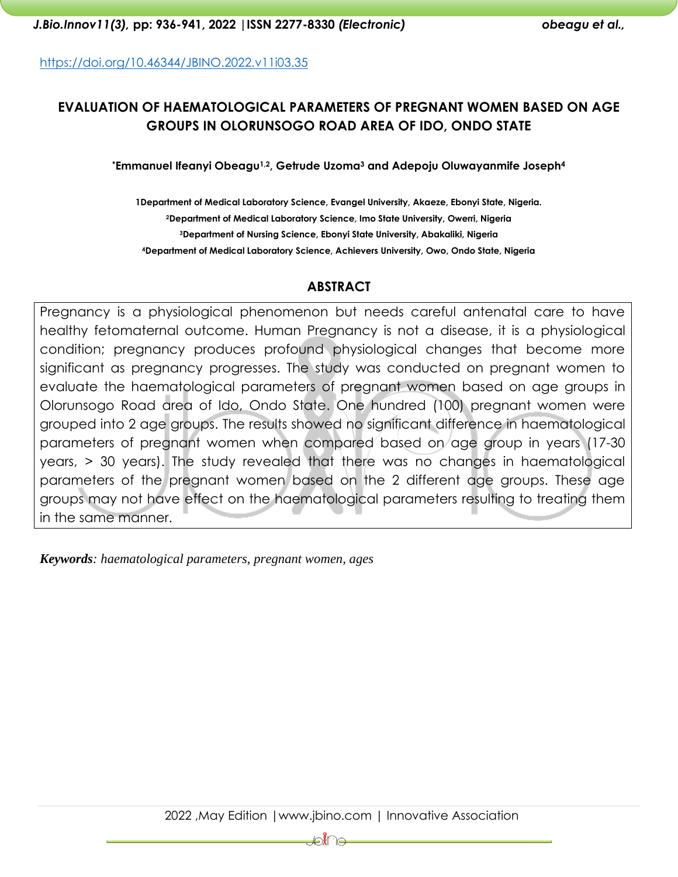<https://doi.org/10.46344/JBINO.2022.v11i03.35>

# **EVALUATION OF HAEMATOLOGICAL PARAMETERS OF PREGNANT WOMEN BASED ON AGE GROUPS IN OLORUNSOGO ROAD AREA OF IDO, ONDO STATE**

**\*Emmanuel Ifeanyi Obeagu1,2, Getrude Uzoma<sup>3</sup> and Adepoju Oluwayanmife Joseph<sup>4</sup>**

**1Department of Medical Laboratory Science, Evangel University, Akaeze, Ebonyi State, Nigeria. Department of Medical Laboratory Science, Imo State University, Owerri, Nigeria Department of Nursing Science, Ebonyi State University, Abakaliki, Nigeria Department of Medical Laboratory Science, Achievers University, Owo, Ondo State, Nigeria**

#### **ABSTRACT**

Pregnancy is a physiological phenomenon but needs careful antenatal care to have healthy fetomaternal outcome. Human Pregnancy is not a disease, it is a physiological condition; pregnancy produces profound physiological changes that become more significant as pregnancy progresses. The study was conducted on pregnant women to evaluate the haematological parameters of pregnant women based on age groups in Olorunsogo Road area of Ido, Ondo State. One hundred (100) pregnant women were grouped into 2 age groups. The results showed no significant difference in haematological parameters of pregnant women when compared based on age group in years (17-30 years, > 30 years). The study revealed that there was no changes in haematological parameters of the pregnant women based on the 2 different age groups. These age groups may not have effect on the haematological parameters resulting to treating them in the same manner.

*Keywords: haematological parameters, pregnant women, ages*

⊫ฦ๎∤๛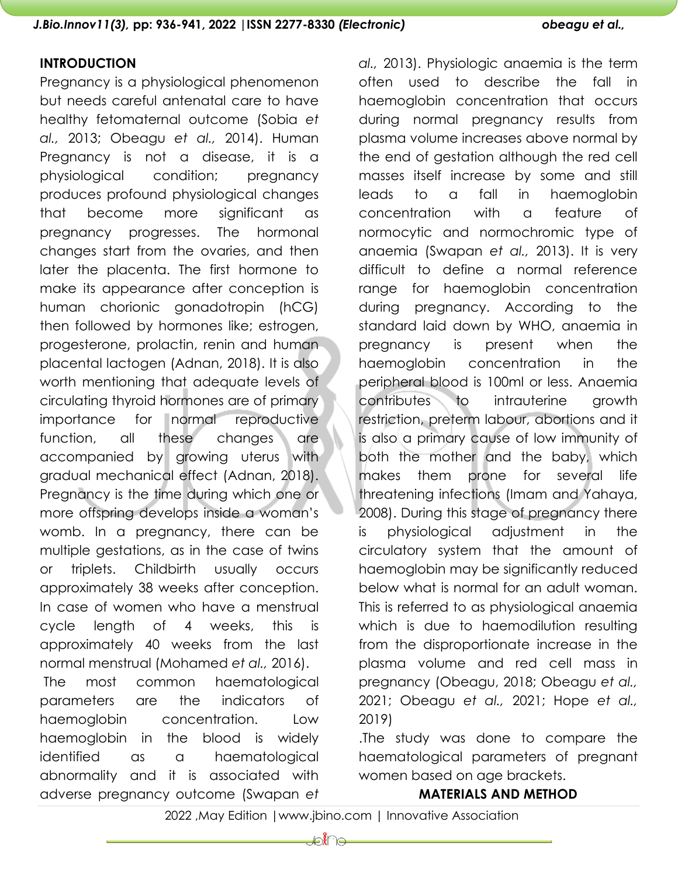#### **INTRODUCTION**

Pregnancy is a physiological phenomenon but needs careful antenatal care to have healthy fetomaternal outcome (Sobia *et al.,* 2013; Obeagu *et al.,* 2014). Human Pregnancy is not a disease, it is a physiological condition; pregnancy produces profound physiological changes that become more significant as pregnancy progresses. The hormonal changes start from the ovaries, and then later the placenta. The first hormone to make its appearance after conception is human chorionic gonadotropin (hCG) then followed by hormones like; estrogen, progesterone, prolactin, renin and human placental lactogen (Adnan, 2018). It is also worth mentioning that adequate levels of circulating thyroid hormones are of primary importance for normal reproductive function, all these changes are accompanied by growing uterus with gradual mechanical effect (Adnan, 2018). Pregnancy is the time during which one or more offspring develops inside a woman's womb. In a pregnancy, there can be multiple gestations, as in the case of twins or triplets. Childbirth usually occurs approximately 38 weeks after conception. In case of women who have a menstrual cycle length of 4 weeks, this is approximately 40 weeks from the last normal menstrual (Mohamed *et al.,* 2016).

The most common haematological parameters are the indicators of haemoglobin concentration. Low haemoglobin in the blood is widely identified as a haematological abnormality and it is associated with adverse pregnancy outcome (Swapan *et*  *al.,* 2013). Physiologic anaemia is the term often used to describe the fall in haemoglobin concentration that occurs during normal pregnancy results from plasma volume increases above normal by the end of gestation although the red cell masses itself increase by some and still leads to a fall in haemoglobin concentration with a feature of normocytic and normochromic type of anaemia (Swapan *et al.,* 2013). It is very difficult to define a normal reference range for haemoglobin concentration during pregnancy. According to the standard laid down by WHO, anaemia in pregnancy is present when the haemoglobin concentration in the peripheral blood is 100ml or less. Anaemia contributes to intrauterine growth restriction, preterm labour, abortions and it is also a primary cause of low immunity of both the mother and the baby, which makes them prone for several life threatening infections (Imam and Yahaya, 2008). During this stage of pregnancy there is physiological adjustment in the circulatory system that the amount of haemoglobin may be significantly reduced below what is normal for an adult woman. This is referred to as physiological anaemia which is due to haemodilution resulting from the disproportionate increase in the plasma volume and red cell mass in pregnancy (Obeagu, 2018; Obeagu *et al.,* 2021; Obeagu *et al.,* 2021; Hope *et al.,* 2019)

.The study was done to compare the haematological parameters of pregnant women based on age brackets.

#### **MATERIALS AND METHOD**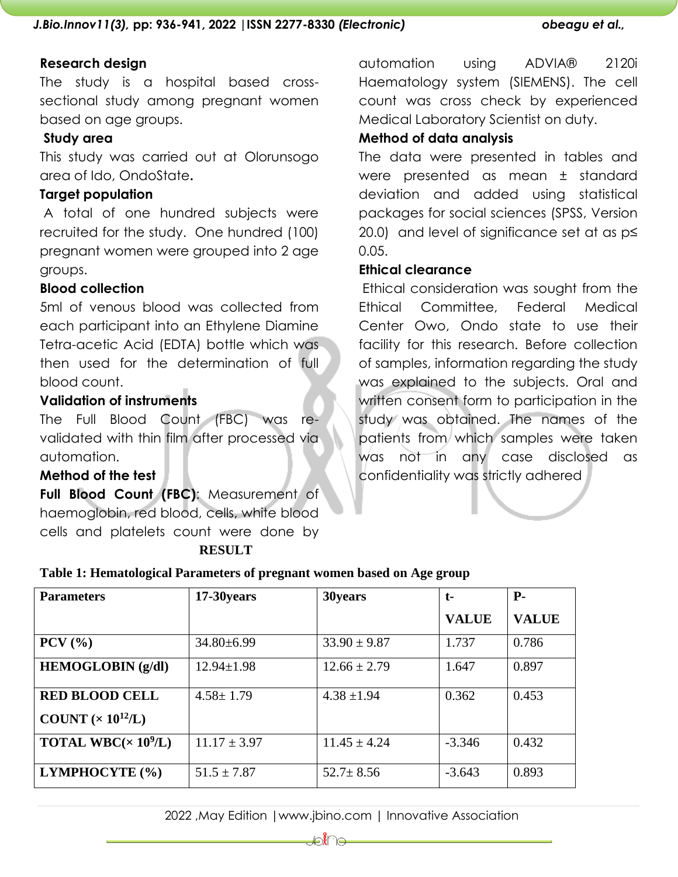## **Research design**

The study is a hospital based crosssectional study among pregnant women based on age groups.

#### **Study area**

This study was carried out at Olorunsogo area of Ido, OndoState**.** 

#### **Target population**

A total of one hundred subjects were recruited for the study. One hundred (100) pregnant women were grouped into 2 age groups.

## **Blood collection**

5ml of venous blood was collected from each participant into an Ethylene Diamine Tetra-acetic Acid (EDTA) bottle which was then used for the determination of full blood count.

#### **Validation of instruments**

The Full Blood Count (FBC) was revalidated with thin film after processed via automation.

#### **Method of the test**

**Full Blood Count (FBC)**: Measurement of haemoglobin, red blood, cells, white blood cells and platelets count were done by  **RESULT** 

automation using ADVIA® 2120i Haematology system (SIEMENS). The cell count was cross check by experienced Medical Laboratory Scientist on duty.

#### **Method of data analysis**

The data were presented in tables and were presented as mean ± standard deviation and added using statistical packages for social sciences (SPSS, Version 20.0) and level of significance set at as p≤ 0.05.

#### **Ethical clearance**

Ethical consideration was sought from the Ethical Committee, Federal Medical Center Owo, Ondo state to use their facility for this research. Before collection of samples, information regarding the study was explained to the subjects. Oral and written consent form to participation in the study was obtained. The names of the patients from which samples were taken was not in any case disclosed as confidentiality was strictly adhered

|  | Table 1: Hematological Parameters of pregnant women based on Age group |  |  |  |  |
|--|------------------------------------------------------------------------|--|--|--|--|
|  |                                                                        |  |  |  |  |
|  |                                                                        |  |  |  |  |
|  |                                                                        |  |  |  |  |

| <b>Parameters</b>                   | 17-30 years      | 30years          | $t-$         | <b>P</b> -   |  |
|-------------------------------------|------------------|------------------|--------------|--------------|--|
|                                     |                  |                  | <b>VALUE</b> | <b>VALUE</b> |  |
| $PCV$ $(\frac{9}{6})$               | $34.80\pm 6.99$  | $33.90 \pm 9.87$ | 1.737        | 0.786        |  |
| <b>HEMOGLOBIN</b> (g/dl)            | $12.94 \pm 1.98$ | $12.66 \pm 2.79$ | 1.647        | 0.897        |  |
| <b>RED BLOOD CELL</b>               | $4.58 \pm 1.79$  | $4.38 \pm 1.94$  | 0.362        | 0.453        |  |
| COUNT $(x 10^{12}/L)$               |                  |                  |              |              |  |
| <b>TOTAL WBC</b> $(\times 10^9$ /L) | $11.17 \pm 3.97$ | $11.45 \pm 4.24$ | $-3.346$     | 0.432        |  |
| LYMPHOCYTE (%)                      | $51.5 \pm 7.87$  | $52.7 \pm 8.56$  | $-3.643$     | 0.893        |  |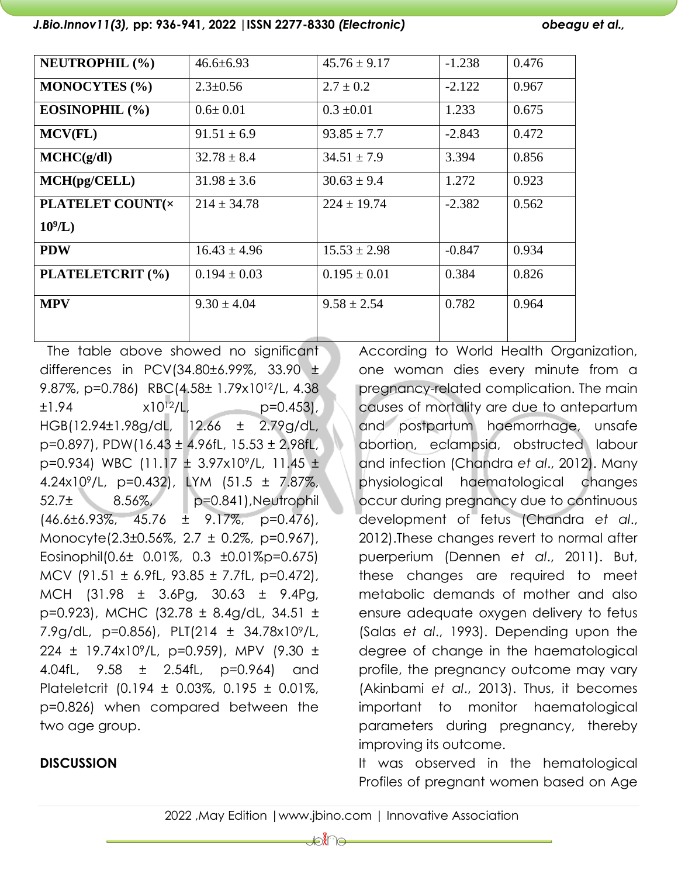*J.Bio.Innov11(3),* **pp: 936-941, 2022 |ISSN 2277-8330** *(Electronic) obeagu et al.,*

| <b>NEUTROPHIL (%)</b>    | $46.6 \pm 6.93$  | $45.76 \pm 9.17$ | $-1.238$ | 0.476 |
|--------------------------|------------------|------------------|----------|-------|
| <b>MONOCYTES</b> (%)     | $2.3 \pm 0.56$   | $2.7 \pm 0.2$    | $-2.122$ | 0.967 |
| EOSINOPHIL (%)           | $0.6 \pm 0.01$   | $0.3 \pm 0.01$   | 1.233    | 0.675 |
| MCV(FL)                  | $91.51 \pm 6.9$  | $93.85 \pm 7.7$  | $-2.843$ | 0.472 |
| MCHC(g/dl)               | $32.78 \pm 8.4$  | $34.51 \pm 7.9$  | 3.394    | 0.856 |
| MCH(pg/CELL)             | $31.98 \pm 3.6$  | $30.63 \pm 9.4$  | 1.272    | 0.923 |
| <b>PLATELET COUNT(x)</b> | $214 \pm 34.78$  | $224 \pm 19.74$  | $-2.382$ | 0.562 |
| $10^9$ /L)               |                  |                  |          |       |
| <b>PDW</b>               | $16.43 \pm 4.96$ | $15.53 \pm 2.98$ | $-0.847$ | 0.934 |
| PLATELETCRIT (%)         | $0.194 \pm 0.03$ | $0.195 \pm 0.01$ | 0.384    | 0.826 |
| <b>MPV</b>               | $9.30 \pm 4.04$  | $9.58 \pm 2.54$  | 0.782    | 0.964 |
|                          |                  |                  |          |       |

 The table above showed no significant differences in PCV(34.80 $\pm$ 6.99%, 33.90  $\pm$ 9.87%, p=0.786) RBC(4.58± 1.79x1012/L, 4.38  $\pm 1.94$   $\times 10^{12}/L$ ,  $p=0.453$ , HGB(12.94±1.98g/dL, 12.66 ± 2.79g/dL, p=0.897), PDW(16.43 ± 4.96fL, 15.53 ± 2.98fL, p=0.934) WBC (11.17 ± 3.97x109/L, 11.45 ± 4.24x109/L, p=0.432), LYM (51.5 ± 7.87%, 52.7± 8.56%, p=0.841),Neutrophil  $(46.6\pm6.93\%, 45.76 \pm 9.17\%, p=0.476)$ Monocyte(2.3±0.56%, 2.7 ± 0.2%, p=0.967), Eosinophil(0.6± 0.01%, 0.3 ±0.01%p=0.675) MCV (91.51 ± 6.9fL, 93.85 ± 7.7fL, p=0.472), MCH (31.98 ± 3.6Pg, 30.63 ± 9.4Pg, p=0.923), MCHC (32.78 ± 8.4g/dL, 34.51 ± 7.9g/dL, p=0.856), PLT(214 ± 34.78x109/L, 224 ± 19.74x109/L, p=0.959), MPV (9.30 ± 4.04fL, 9.58 ± 2.54fL, p=0.964) and Plateletcrit (0.194 ± 0.03%, 0.195 ± 0.01%, p=0.826) when compared between the two age group.

**DISCUSSION**

# According to World Health Organization, one woman dies every minute from a pregnancy-related complication. The main causes of mortality are due to antepartum and postpartum haemorrhage, unsafe abortion, eclampsia, obstructed labour and infection (Chandra *et al*., 2012). Many physiological haematological changes occur during pregnancy due to continuous development of fetus (Chandra *et al*., 2012).These changes revert to normal after puerperium (Dennen *et al*., 2011). But, these changes are required to meet metabolic demands of mother and also ensure adequate oxygen delivery to fetus (Salas *et al*., 1993). Depending upon the degree of change in the haematological profile, the pregnancy outcome may vary (Akinbami *et al*., 2013). Thus, it becomes important to monitor haematological parameters during pregnancy, thereby improving its outcome.

It was observed in the hematological Profiles of pregnant women based on Age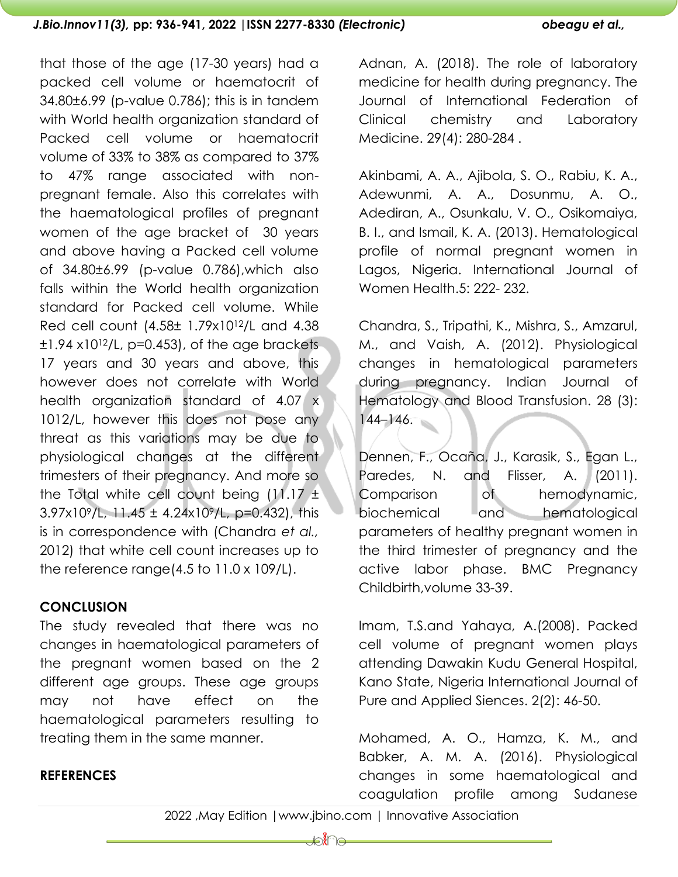that those of the age (17-30 years) had a packed cell volume or haematocrit of 34.80±6.99 (p-value 0.786); this is in tandem with World health organization standard of Packed cell volume or haematocrit volume of 33% to 38% as compared to 37% to 47% range associated with nonpregnant female. Also this correlates with the haematological profiles of pregnant women of the age bracket of 30 years and above having a Packed cell volume of 34.80±6.99 (p-value 0.786),which also falls within the World health organization standard for Packed cell volume. While Red cell count (4.58± 1.79x1012/L and 4.38  $\pm 1.94$  x10<sup>12</sup>/L, p=0.453), of the age brackets 17 years and 30 years and above, this however does not correlate with World health organization standard of 4.07 x 1012/L, however this does not pose any threat as this variations may be due to physiological changes at the different trimesters of their pregnancy. And more so the Total white cell count being  $(11.17 \pm$ 3.97x109/L, 11.45 ± 4.24x109/L, p=0.432), this is in correspondence with (Chandra *et al.,* 2012) that white cell count increases up to the reference range(4.5 to 11.0 x 109/L).

## **CONCLUSION**

The study revealed that there was no changes in haematological parameters of the pregnant women based on the 2 different age groups. These age groups may not have effect on the haematological parameters resulting to treating them in the same manner.

Adnan, A. (2018). The role of laboratory medicine for health during pregnancy. The Journal of International Federation of Clinical chemistry and Laboratory Medicine. 29(4): 280-284 .

Akinbami, A. A., Ajibola, S. O., Rabiu, K. A., Adewunmi, A. A., Dosunmu, A. O., Adediran, A., Osunkalu, V. O., Osikomaiya, B. I., and Ismail, K. A. (2013). Hematological profile of normal pregnant women in Lagos, Nigeria. International Journal of Women Health.5: 222- 232.

Chandra, S., Tripathi, K., Mishra, S., Amzarul, M., and Vaish, A. (2012). Physiological changes in hematological parameters during pregnancy. Indian Journal of Hematology and Blood Transfusion. 28 (3): 144–146.

Dennen, F., Ocaña, J., Karasik, S., Egan L., Paredes, N. and Flisser, A. (2011). Comparison of hemodynamic, biochemical and hematological parameters of healthy pregnant women in the third trimester of pregnancy and the active labor phase. BMC Pregnancy Childbirth,volume 33-39.

Imam, T.S.and Yahaya, A.(2008). Packed cell volume of pregnant women plays attending Dawakin Kudu General Hospital, Kano State, Nigeria International Journal of Pure and Applied Siences. 2(2): 46-50.

Mohamed, A. O., Hamza, K. M., and Babker, A. M. A. (2016). Physiological changes in some haematological and coagulation profile among Sudanese

# **REFERENCES**

2022 ,May Edition |www.jbino.com | Innovative Association